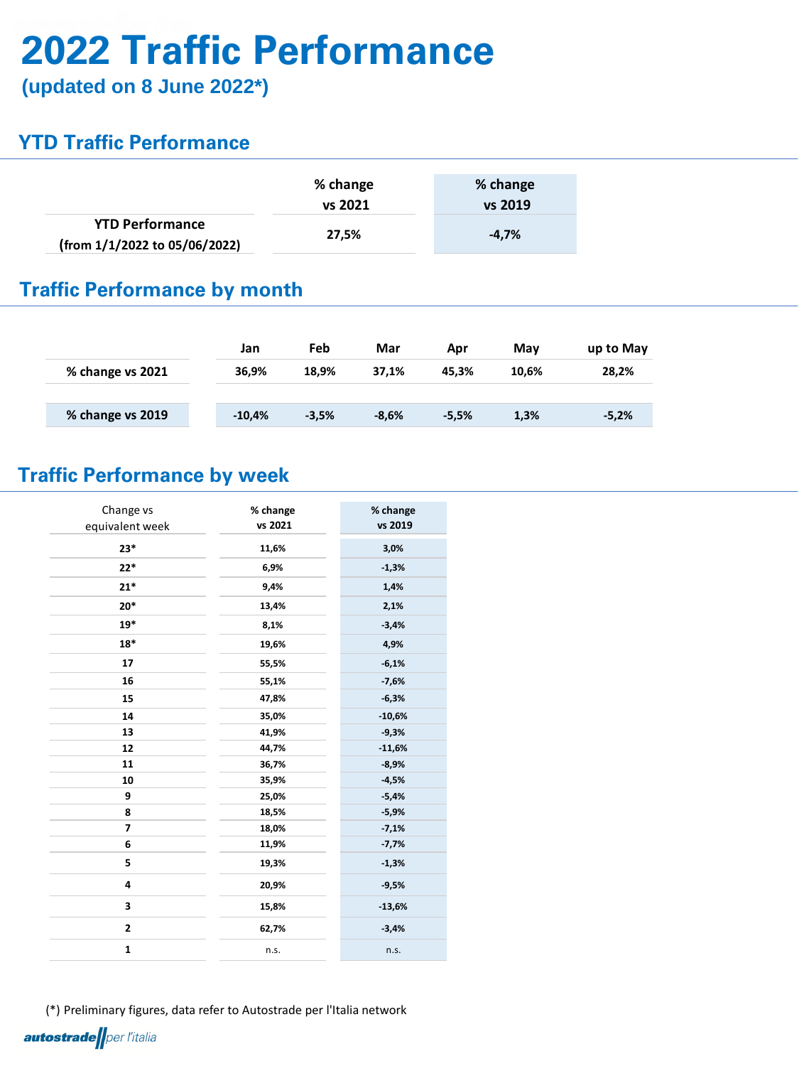# **2022 Traffic Performance**

(\*) Preliminary figures, data refer to Autostrade per l'Italia network **autostrade** per l'italia

**(updated on 8 June 2022\*)**

### **YTD Traffic Performance**

#### **Traffic Performance by month**

#### **Traffic Performance by week**

|                                                         | % change<br>vs 2021 | % change<br>vs 2019 |  |  |
|---------------------------------------------------------|---------------------|---------------------|--|--|
| <b>YTD Performance</b><br>(from 1/1/2022 to 05/06/2022) | 27,5%               | $-4.7%$             |  |  |

|                  | Jan      | Feb     | Mar     | Apr     | May   | up to May |
|------------------|----------|---------|---------|---------|-------|-----------|
| % change vs 2021 | 36,9%    | 18,9%   | 37,1%   | 45.3%   | 10,6% | 28,2%     |
|                  |          |         |         |         |       |           |
| % change vs 2019 | $-10,4%$ | $-3,5%$ | $-8,6%$ | $-5,5%$ | 1,3%  | $-5,2%$   |

| Change vs<br>equivalent week | % change<br>vs 2021 | % change<br>vs 2019 |  |
|------------------------------|---------------------|---------------------|--|
| $23*$                        | 11,6%               | 3,0%                |  |
| $22*$                        | 6,9%                | $-1,3%$             |  |
| $21*$                        | 9,4%<br>1,4%        |                     |  |
| $20*$                        | 13,4%               | 2,1%                |  |
| $19*$                        | 8,1%                | $-3,4%$             |  |
| $18*$                        | 19,6%               | 4,9%                |  |
| 17                           | 55,5%               | $-6,1%$             |  |
| 16                           | 55,1%               | $-7,6%$             |  |
| 15                           | 47,8%               | $-6,3%$             |  |
| 14                           | 35,0%               | $-10,6%$            |  |
| 13                           | 41,9%               | $-9,3%$             |  |
| 12                           | 44,7%               | $-11,6%$            |  |
| 11                           | 36,7%               | $-8,9%$             |  |
| 10                           | 35,9%               | $-4,5%$             |  |
| $\boldsymbol{9}$             | 25,0%               | $-5,4%$             |  |
| 8                            | 18,5%               | $-5,9%$             |  |
| $\overline{\mathbf{z}}$      | 18,0%               | $-7,1%$             |  |
| $6\phantom{1}6$              | 11,9%               | $-7,7%$             |  |
| 5                            | 19,3%               | $-1,3%$             |  |
| $\overline{\mathbf{4}}$      | 20,9%<br>$-9,5%$    |                     |  |
| $\overline{\mathbf{3}}$      | 15,8%<br>$-13,6%$   |                     |  |
| $\mathbf{2}$                 | 62,7%               | $-3,4%$             |  |
| $\mathbf{1}$                 | n.s.                | n.s.                |  |